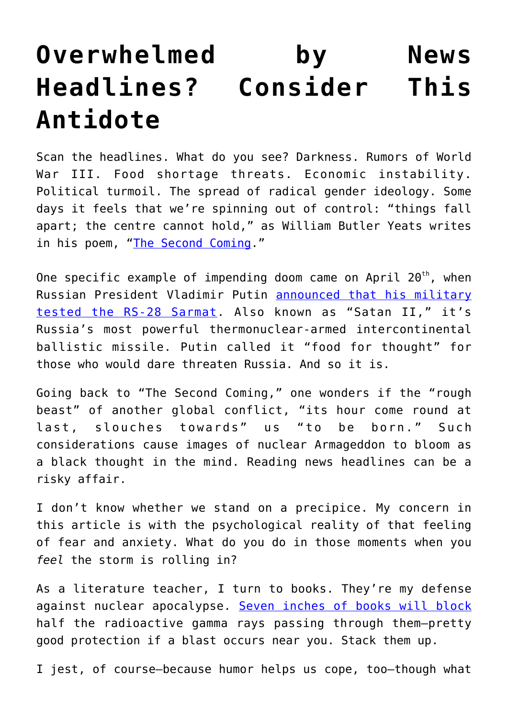## **[Overwhelmed by News](https://intellectualtakeout.org/2022/04/overwhelmed-by-news-headlines-consider-this-antidote/) [Headlines? Consider This](https://intellectualtakeout.org/2022/04/overwhelmed-by-news-headlines-consider-this-antidote/) [Antidote](https://intellectualtakeout.org/2022/04/overwhelmed-by-news-headlines-consider-this-antidote/)**

Scan the headlines. What do you see? Darkness. Rumors of World War III. Food shortage threats. Economic instability. Political turmoil. The spread of radical gender ideology. Some days it feels that we're spinning out of control: "things fall apart; the centre cannot hold," as William Butler Yeats writes in his poem, ["The Second Coming](https://www.poetryfoundation.org/poems/43290/the-second-coming)."

One specific example of impending doom came on April 20<sup>th</sup>, when Russian President Vladimir Putin [announced that his military](https://www.washingtonpost.com/world/2022/04/20/satan-2-icbm/) [tested the RS-28 Sarmat.](https://www.washingtonpost.com/world/2022/04/20/satan-2-icbm/) Also known as "Satan II," it's Russia's most powerful thermonuclear-armed intercontinental ballistic missile. Putin called it "food for thought" for those who would dare threaten Russia. And so it is.

Going back to "The Second Coming," one wonders if the "rough beast" of another global conflict, "its hour come round at last, slouches towards" us "to be born." Such considerations cause images of nuclear Armageddon to bloom as a black thought in the mind. Reading news headlines can be a risky affair.

I don't know whether we stand on a precipice. My concern in this article is with the psychological reality of that feeling of fear and anxiety. What do you do in those moments when you *feel* the storm is rolling in?

As a literature teacher, I turn to books. They're my defense against nuclear apocalypse. [Seven inches of books will block](https://survivalblog.com/2005/10/31/radiation-protection-factors-f/) half the radioactive gamma rays passing through them—pretty good protection if a blast occurs near you. Stack them up.

I jest, of course—because humor helps us cope, too—though what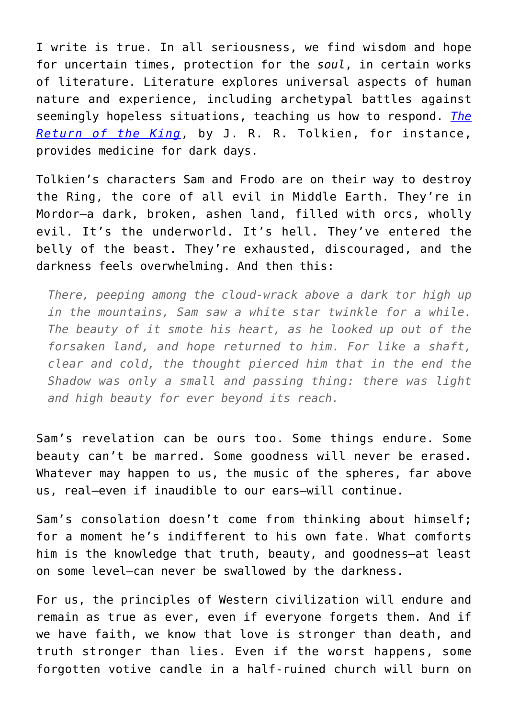I write is true. In all seriousness, we find wisdom and hope for uncertain times, protection for the *soul*, in certain works of literature. Literature explores universal aspects of human nature and experience, including archetypal battles against seemingly hopeless situations, teaching us how to respond. *[The](https://books.google.com/books?id=wyak3_NWKZsC&newbks=1&newbks_redir=0&printsec=frontcover#v=onepage&q&f=false) [Return of the King](https://books.google.com/books?id=wyak3_NWKZsC&newbks=1&newbks_redir=0&printsec=frontcover#v=onepage&q&f=false)*, by J. R. R. Tolkien, for instance, provides medicine for dark days.

Tolkien's characters Sam and Frodo are on their way to destroy the Ring, the core of all evil in Middle Earth. They're in Mordor—a dark, broken, ashen land, filled with orcs, wholly evil. It's the underworld. It's hell. They've entered the belly of the beast. They're exhausted, discouraged, and the darkness feels overwhelming. And then this:

*There, peeping among the cloud-wrack above a dark tor high up in the mountains, Sam saw a white star twinkle for a while. The beauty of it smote his heart, as he looked up out of the forsaken land, and hope returned to him. For like a shaft, clear and cold, the thought pierced him that in the end the Shadow was only a small and passing thing: there was light and high beauty for ever beyond its reach.*

Sam's revelation can be ours too. Some things endure. Some beauty can't be marred. Some goodness will never be erased. Whatever may happen to us, the music of the spheres, far above us, real—even if inaudible to our ears—will continue.

Sam's consolation doesn't come from thinking about himself; for a moment he's indifferent to his own fate. What comforts him is the knowledge that truth, beauty, and goodness—at least on some level—can never be swallowed by the darkness.

For us, the principles of Western civilization will endure and remain as true as ever, even if everyone forgets them. And if we have faith, we know that love is stronger than death, and truth stronger than lies. Even if the worst happens, some forgotten votive candle in a half-ruined church will burn on